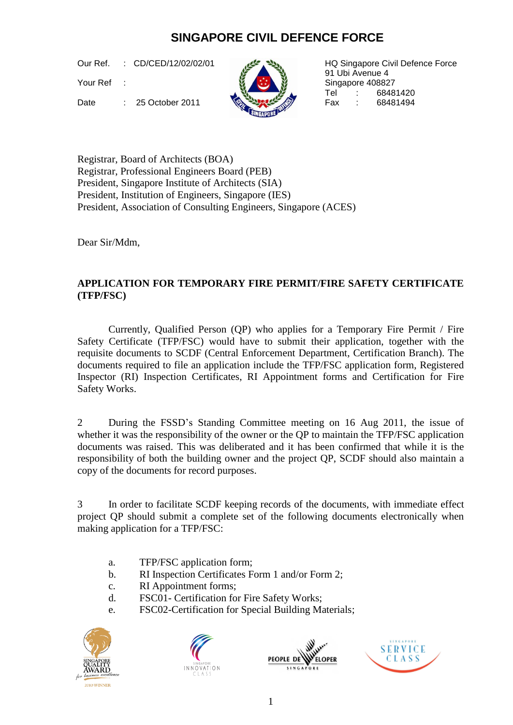## **SINGAPORE CIVIL DEFENCE FORCE**

Our Ref. : CD/CED/12/02/02/01

Your Ref

Date : 25 October 2011

:



HQ Singapore Civil Defence Force 91 Ubi Avenue 4 Singapore 408827 Tel : 68481420<br>Fax : 68481494

Registrar, Board of Architects (BOA) Registrar, Professional Engineers Board (PEB) President, Singapore Institute of Architects (SIA) President, Institution of Engineers, Singapore (IES) President, Association of Consulting Engineers, Singapore (ACES)

Dear Sir/Mdm,

## **APPLICATION FOR TEMPORARY FIRE PERMIT/FIRE SAFETY CERTIFICATE (TFP/FSC)**

Currently, Qualified Person (QP) who applies for a Temporary Fire Permit / Fire Safety Certificate (TFP/FSC) would have to submit their application, together with the requisite documents to SCDF (Central Enforcement Department, Certification Branch). The documents required to file an application include the TFP/FSC application form, Registered Inspector (RI) Inspection Certificates, RI Appointment forms and Certification for Fire Safety Works.

2 During the FSSD's Standing Committee meeting on 16 Aug 2011, the issue of whether it was the responsibility of the owner or the QP to maintain the TFP/FSC application documents was raised. This was deliberated and it has been confirmed that while it is the responsibility of both the building owner and the project QP, SCDF should also maintain a copy of the documents for record purposes.

3 In order to facilitate SCDF keeping records of the documents, with immediate effect project QP should submit a complete set of the following documents electronically when making application for a TFP/FSC:

- a. TFP/FSC application form;
- b. RI Inspection Certificates Form 1 and/or Form 2;
- c. RI Appointment forms;
- d. FSC01- Certification for Fire Safety Works;
- e. FSC02-Certification for Special Building Materials;